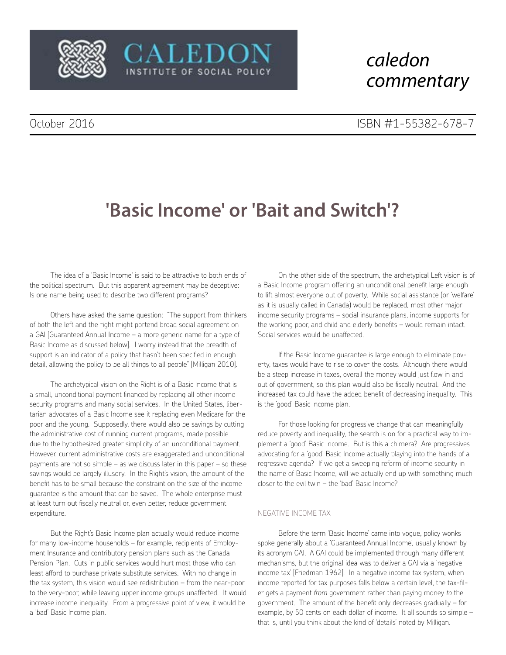

## *caledon commentary*

# **'Basic Income' or 'Bait and Switch'?**

CALEDON

INSTITUTE OF SOCIAL POLICY

The idea of a 'Basic Income' is said to be attractive to both ends of the political spectrum. But this apparent agreement may be deceptive: Is one name being used to describe two different programs?

Others have asked the same question: "The support from thinkers of both the left and the right might portend broad social agreement on a GAI [Guaranteed Annual Income – a more generic name for a type of Basic Income as discussed below]. I worry instead that the breadth of support is an indicator of a policy that hasn't been specified in enough detail, allowing the policy to be all things to all people" [Milligan 2010].

The archetypical vision on the Right is of a Basic Income that is a small, unconditional payment financed by replacing all other income security programs and many social services. In the United States, libertarian advocates of a Basic Income see it replacing even Medicare for the poor and the young. Supposedly, there would also be savings by cutting the administrative cost of running current programs, made possible due to the hypothesized greater simplicity of an unconditional payment. However, current administrative costs are exaggerated and unconditional payments are not so simple – as we discuss later in this paper – so these savings would be largely illusory. In the Right's vision, the amount of the benefit has to be small because the constraint on the size of the income guarantee is the amount that can be saved. The whole enterprise must at least turn out fiscally neutral or, even better, reduce government expenditure.

But the Right's Basic Income plan actually would reduce income for many low-income households – for example, recipients of Employment Insurance and contributory pension plans such as the Canada Pension Plan. Cuts in public services would hurt most those who can least afford to purchase private substitute services. With no change in the tax system, this vision would see redistribution – from the near-poor to the very-poor, while leaving upper income groups unaffected. It would increase income inequality. From a progressive point of view, it would be a 'bad' Basic Income plan.

On the other side of the spectrum, the archetypical Left vision is of a Basic Income program offering an unconditional benefit large enough to lift almost everyone out of poverty. While social assistance (or 'welfare' as it is usually called in Canada) would be replaced, most other major income security programs – social insurance plans, income supports for the working poor, and child and elderly benefits – would remain intact. Social services would be unaffected.

If the Basic Income guarantee is large enough to eliminate poverty, taxes would have to rise to cover the costs. Although there would be a steep increase in taxes, overall the money would just flow in and out of government, so this plan would also be fiscally neutral. And the increased tax could have the added benefit of decreasing inequality. This is the 'good' Basic Income plan.

For those looking for progressive change that can meaningfully reduce poverty and inequality, the search is on for a practical way to implement a 'good' Basic Income. But is this a chimera? Are progressives advocating for a 'good' Basic Income actually playing into the hands of a regressive agenda? If we get a sweeping reform of income security in the name of Basic Income, will we actually end up with something much closer to the evil twin – the 'bad' Basic Income?

#### NEGATIVE INCOME TAX

Before the term 'Basic Income' came into vogue, policy wonks spoke generally about a 'Guaranteed Annual Income', usually known by its acronym GAI. A GAI could be implemented through many different mechanisms, but the original idea was to deliver a GAI via a 'negative income tax' [Friedman 1962]. In a negative income tax system, when income reported for tax purposes falls below a certain level, the tax-filer gets a payment *from* government rather than paying money *to* the government. The amount of the benefit only decreases gradually – for example, by 50 cents on each dollar of income. It all sounds so simple – that is, until you think about the kind of 'details' noted by Milligan.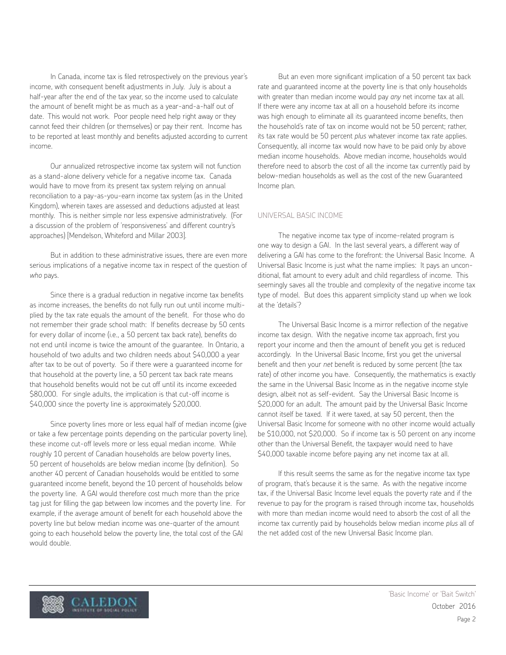In Canada, income tax is filed retrospectively on the previous year's income, with consequent benefit adjustments in July. July is about a half-year after the end of the tax year, so the income used to calculate the amount of benefit might be as much as a year-and-a-half out of date. This would not work. Poor people need help right away or they cannot feed their children (or themselves) or pay their rent. Income has to be reported at least monthly and benefits adjusted according to current income.

Our annualized retrospective income tax system will not function as a stand-alone delivery vehicle for a negative income tax. Canada would have to move from its present tax system relying on annual reconciliation to a pay-as-you-earn income tax system (as in the United Kingdom), wherein taxes are assessed and deductions adjusted at least monthly. This is neither simple nor less expensive administratively. (For a discussion of the problem of 'responsiveness' and different country's approaches) [Mendelson, Whiteford and Millar 2003].

But in addition to these administrative issues, there are even more serious implications of a negative income tax in respect of the question of *who* pays.

Since there is a gradual reduction in negative income tax benefits as income increases, the benefits do not fully run out until income multiplied by the tax rate equals the amount of the benefit. For those who do not remember their grade school math: If benefits decrease by 50 cents for every dollar of income (i.e., a 50 percent tax back rate), benefits do not end until income is twice the amount of the guarantee. In Ontario, a household of two adults and two children needs about \$40,000 a year after tax to be out of poverty. So if there were a guaranteed income for that household at the poverty line, a 50 percent tax back rate means that household benefits would not be cut off until its income exceeded \$80,000. For single adults, the implication is that cut-off income is \$40,000 since the poverty line is approximately \$20,000.

Since poverty lines more or less equal half of median income (give or take a few percentage points depending on the particular poverty line), these income cut-off levels more or less equal median income. While roughly 10 percent of Canadian households are below poverty lines, 50 percent of households are below median income (by definition). So another 40 percent of Canadian households would be entitled to some guaranteed income benefit, beyond the 10 percent of households below the poverty line. A GAI would therefore cost much more than the price tag just for filling the gap between low incomes and the poverty line. For example, if the average amount of benefit for each household above the poverty line but below median income was one-quarter of the amount going to each household below the poverty line, the total cost of the GAI would double.

But an even more significant implication of a 50 percent tax back rate and guaranteed income at the poverty line is that only households with greater than median income would pay *any* net income tax at all. If there were any income tax at all on a household before its income was high enough to eliminate all its guaranteed income benefits, then the household's rate of tax on income would not be 50 percent; rather, its tax rate would be 50 percent *plus* whatever income tax rate applies. Consequently, all income tax would now have to be paid only by above median income households. Above median income, households would therefore need to absorb the cost of all the income tax currently paid by below-median households as well as the cost of the new Guaranteed Income plan.

#### UNIVERSAL BASIC INCOME

The negative income tax type of income-related program is one way to design a GAI. In the last several years, a different way of delivering a GAI has come to the forefront: the Universal Basic Income. A Universal Basic Income is just what the name implies: It pays an unconditional, flat amount to every adult and child regardless of income. This seemingly saves all the trouble and complexity of the negative income tax type of model. But does this apparent simplicity stand up when we look at the 'details'?

The Universal Basic Income is a mirror reflection of the negative income tax design. With the negative income tax approach, first you report your income and then the amount of benefit you get is reduced accordingly. In the Universal Basic Income, first you get the universal benefit and then your *net* benefit is reduced by some percent (the tax rate) of other income you have. Consequently, the mathematics is exactly the same in the Universal Basic Income as in the negative income style design, albeit not as self-evident. Say the Universal Basic Income is \$20,000 for an adult. The amount paid by the Universal Basic Income cannot itself be taxed. If it were taxed, at say 50 percent, then the Universal Basic Income for someone with no other income would actually be \$10,000, not \$20,000. So if income tax is 50 percent on any income other than the Universal Benefit, the taxpayer would need to have \$40,000 taxable income before paying any net income tax at all.

If this result seems the same as for the negative income tax type of program, that's because it is the same. As with the negative income tax, if the Universal Basic Income level equals the poverty rate and if the revenue to pay for the program is raised through income tax, households with more than median income would need to absorb the cost of all the income tax currently paid by households below median income *plus* all of the net added cost of the new Universal Basic Income plan.

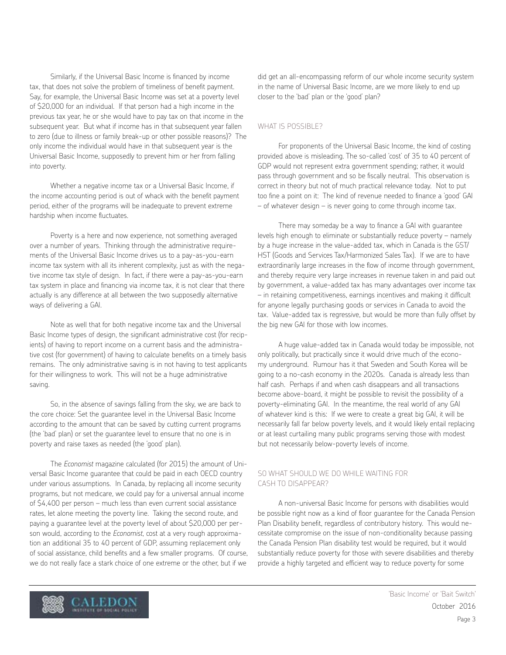Similarly, if the Universal Basic Income is financed by income tax, that does not solve the problem of timeliness of benefit payment. Say, for example, the Universal Basic Income was set at a poverty level of \$20,000 for an individual. If that person had a high income in the previous tax year, he or she would have to pay tax on that income in the subsequent year. But what if income has in that subsequent year fallen to zero (due to illness or family break-up or other possible reasons)? The only income the individual would have in that subsequent year is the Universal Basic Income, supposedly to prevent him or her from falling into poverty.

Whether a negative income tax or a Universal Basic Income, if the income accounting period is out of whack with the benefit payment period, either of the programs will be inadequate to prevent extreme hardship when income fluctuates.

Poverty is a here and now experience, not something averaged over a number of years. Thinking through the administrative requirements of the Universal Basic Income drives us to a pay-as-you-earn income tax system with all its inherent complexity, just as with the negative income tax style of design. In fact, if there were a pay-as-you-earn tax system in place and financing via income tax, it is not clear that there actually is any difference at all between the two supposedly alternative ways of delivering a GAI.

Note as well that for both negative income tax and the Universal Basic Income types of design, the significant administrative cost (for recipients) of having to report income on a current basis and the administrative cost (for government) of having to calculate benefits on a timely basis remains. The only administrative saving is in not having to test applicants for their willingness to work. This will not be a huge administrative saving.

So, in the absence of savings falling from the sky, we are back to the core choice: Set the guarantee level in the Universal Basic Income according to the amount that can be saved by cutting current programs (the 'bad' plan) or set the guarantee level to ensure that no one is in poverty and raise taxes as needed (the 'good' plan).

The *Economist* magazine calculated (for 2015) the amount of Universal Basic Income guarantee that could be paid in each OECD country under various assumptions. In Canada, by replacing all income security programs, but not medicare, we could pay for a universal annual income of \$4,400 per person – much less than even current social assistance rates, let alone meeting the poverty line. Taking the second route, and paying a guarantee level at the poverty level of about \$20,000 per person would, according to the *Economist*, cost at a very rough approximation an additional 35 to 40 percent of GDP, assuming replacement only of social assistance, child benefits and a few smaller programs. Of course, we do not really face a stark choice of one extreme or the other, but if we

did get an all-encompassing reform of our whole income security system in the name of Universal Basic Income, are we more likely to end up closer to the 'bad' plan or the 'good' plan?

#### WHAT IS POSSIBLE?

For proponents of the Universal Basic Income, the kind of costing provided above is misleading. The so-called 'cost' of 35 to 40 percent of GDP would not represent extra government spending; rather, it would pass through government and so be fiscally neutral. This observation is correct in theory but not of much practical relevance today. Not to put too fine a point on it: The kind of revenue needed to finance a 'good' GAI – of whatever design – is never going to come through income tax.

There may someday be a way to finance a GAI with guarantee levels high enough to eliminate or substantially reduce poverty – namely by a huge increase in the value-added tax, which in Canada is the GST/ HST (Goods and Services Tax/Harmonized Sales Tax). If we are to have extraordinarily large increases in the flow of income through government, and thereby require very large increases in revenue taken in and paid out by government, a value-added tax has many advantages over income tax – in retaining competitiveness, earnings incentives and making it difficult for anyone legally purchasing goods or services in Canada to avoid the tax. Value-added tax is regressive, but would be more than fully offset by the big new GAI for those with low incomes.

A huge value-added tax in Canada would today be impossible, not only politically, but practically since it would drive much of the economy underground. Rumour has it that Sweden and South Korea will be going to a no-cash economy in the 2020s. Canada is already less than half cash. Perhaps if and when cash disappears and all transactions become above-board, it might be possible to revisit the possibility of a poverty-eliminating GAI. In the meantime, the real world of any GAI of whatever kind is this: If we were to create a great big GAI, it will be necessarily fall far below poverty levels, and it would likely entail replacing or at least curtailing many public programs serving those with modest but not necessarily below-poverty levels of income.

#### SO WHAT SHOULD WE DO WHILE WAITING FOR CASH TO DISAPPEAR?

A non-universal Basic Income for persons with disabilities would be possible right now as a kind of floor guarantee for the Canada Pension Plan Disability benefit, regardless of contributory history. This would necessitate compromise on the issue of non-conditionality because passing the Canada Pension Plan disability test would be required, but it would substantially reduce poverty for those with severe disabilities and thereby provide a highly targeted and efficient way to reduce poverty for some